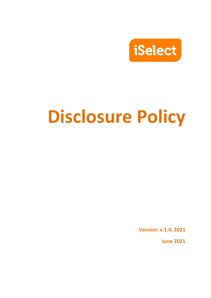

# **Disclosure Policy**

**Version: v.1.4, 2021**

**June 2021**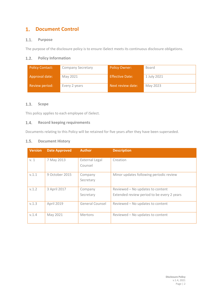#### $1.$ **Document Control**

#### $1.1.$ **Purpose**

The purpose of the disclosure policy is to ensure iSelect meets its continuous disclosure obligations.

#### **Policy Information**  $1.2.$

| Policy Contact: | <b>Company Secretary</b> | <b>Policy Owner:</b>   | Board       |
|-----------------|--------------------------|------------------------|-------------|
| Approval date:  | May 2021                 | <b>Effective Date:</b> | 1 July 2021 |
| Review period:  | Every 2 years            | Next review date:      | May 2023    |

#### $1.3.$ **Scope**

This policy applies to each employee of iSelect.

#### **Record keeping requirements**  $1.4.$

Documents relating to this Policy will be retained for five years after they have been superseded.

## 1.5. Document History

| <b>Version</b> | <b>Date Approved</b> | <b>Author</b>                    | <b>Description</b>                                                             |
|----------------|----------------------|----------------------------------|--------------------------------------------------------------------------------|
| V.1            | 7 May 2013           | <b>External Legal</b><br>Counsel | Creation                                                                       |
| V.1.1          | 9 October 2015       | Company<br>Secretary             | Minor updates following periodic review                                        |
| V.1.2          | 3 April 2017         | Company<br>Secretary             | Reviewed - No updates to content<br>Extended review period to be every 2 years |
| V.1.3          | April 2019           | General Counsel                  | Reviewed - No updates to content                                               |
| V.1.4          | May 2021             | <b>Mertons</b>                   | Reviewed - No updates to content                                               |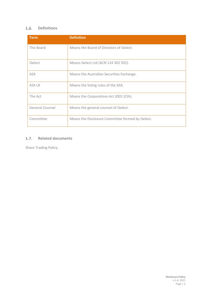## **Definitions**

| <b>Term</b>     | <b>Definition</b>                                 |  |
|-----------------|---------------------------------------------------|--|
| The Board       | Means the Board of Directors of iSelect.          |  |
| iSelect         | Means iSelect Ltd (ACN 124 302 932).              |  |
| <b>ASX</b>      | Means the Australian Securities Exchange.         |  |
| <b>ASX LR</b>   | Means the listing rules of the ASX.               |  |
| The Act         | Means the Corporations Act 2001 (Cth).            |  |
| General Counsel | Means the general counsel of iSelect.             |  |
| Committee       | Means the Disclosure Committee formed by iSelect. |  |

## 1.7. Related documents

Share Trading Policy.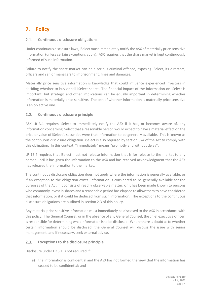## 2. **Policy**

#### $2.1.$ **Continuous disclosure obligations**

Under continuous disclosure laws, iSelect must immediately notify the ASX of materially price sensitive information (unless certain exceptions apply). ASX requires that the share market is kept continuously informed of such information.

Failure to notify the share market can be a serious criminal offence, exposing iSelect, its directors, officers and senior managers to imprisonment, fines and damages.

Materially price sensitive information is knowledge that could influence experienced investors in deciding whether to buy or sell iSelect shares. The financial impact of the information on iSelect is important, but strategic and other implications can be equally important in determining whether information is materially price sensitive. The test of whether information is materially price sensitive is an objective one.

#### $2.2.$ **Continuous disclosure principle**

ASX LR 3.1 requires iSelect to immediately notify the ASX if it has, or becomes aware of, any information concerning iSelect that a reasonable person would expect to have a material effect on the price or value of iSelect's securities were that information to be generally available. This is known as the continuous disclosure obligation. iSelect is also required by section 674 of the Act to comply with this obligation. In this context, "immediately" means "promptly and without delay".

LR 15.7 requires that iSelect must not release information that is for release to the market to any person until it has given the information to the ASX and has received acknowledgment that the ASX has released the information to the market.

The continuous disclosure obligation does not apply where the information is generally available, or if an exception to the obligation exists. Information is considered to be generally available for the purposes of the Act if it consists of readily observable matter, or it has been made known to persons who commonly invest in shares and a reasonable period has elapsed to allow them to have considered that information, or if it could be deduced from such information. The exceptions to the continuous disclosure obligations are outlined in section 2.3 of this policy.

Any material price sensitive information must immediately be disclosed to the ASX in accordance with this policy. The General Counsel, or in the absence of any General Counsel, the chief executive officer, isresponsible for determining what information is to be disclosed. Where there is doubt as to whether certain information should be disclosed, the General Counsel will discuss the issue with senior management, and if necessary, seek external advice.

#### $2.3.$ **Exceptions to the disclosure principle**

Disclosure under LR 3.1 is not required if:

a) the information is confidential and the ASX has not formed the view that the information has ceased to be confidential; and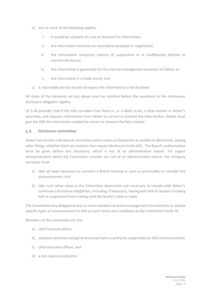- b) one or more of the following applies:
	- i. it would be a breach of a law to disclose the information;
	- ii. the information concerns an incomplete proposal or negotiation;
	- iii. the information comprises matters of supposition or is insufficiently definite to warrant disclosure;
	- iv. the information is generated for the internal management purposes of iSelect; or
	- v. the information is a trade secret; and
- c) a reasonable person would not expect the information to be disclosed.

All three of the elements set out above must be satisfied before the exception to the continuous disclosure obligation applies.

LR 3.1B provides that if the ASX considers that there is, or is likely to be, a false market in iSelect's securities, and requests information from iSelect to correct or prevent the false market, iSelect must give the ASX the information needed to correct or prevent the false market.

#### $2.4$ **Disclosure committee**

iSelect has formed a disclosure committee which meets as frequently as needed to determine, among other things, whether there are matters that require disclosure to the ASX. The Board's authorisation must be given before any disclosure, which is not of an administrative nature. For urgent announcements which the Committee consider are not of an administrative nature, the company secretary must:

- a) take all steps necessary to convene a Board meeting as soon as practicable to consider the announcement; and
- b) take such other steps as the Committee determines are necessary to comply with iSelect's continuous disclosure obligations, including, if necessary, liaising with ASX to request a trading halt or suspension from trading until the Board is able to meet.

The Committee may delegate to one or more members of senior management the authority to release specific types of announcement to ASX on such terms and conditions as the Committee thinks fit.

Members of the Committee are the:

- a) chief financial officer;
- b) company secretary and general counsel (who is primarily responsible for ASX communication);
- c) chief executive officer; and
- d) a non-executive director.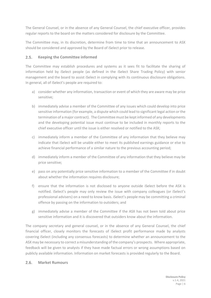The General Counsel, or in the absence of any General Counsel, the chief executive officer, provides regular reports to the board on the matters considered for disclosure by the Committee.

The Committee may, in its discretion, determine from time to time that an announcement to ASX should be considered and approved by the Board of iSelect prior to release.

#### $2.5.$ **Keeping the Committee informed**

The Committee may establish procedures and systems as it sees fit to facilitate the sharing of information held by iSelect people (as defined in the iSelect Share Trading Policy) with senior management and the board to assist iSelect in complying with its continuous disclosure obligations. In general, all of iSelect's people are required to:

- a) consider whether any information, transaction or event of which they are aware may be price sensitive;
- b) immediately advise a member of the Committee of any issues which could develop into price sensitive information (for example, a dispute which could lead to significant legal action or the termination of a major contract). The Committee must be kept informed of any developments and the developing potential issue must continue to be included in monthly reports to the chief executive officer until the issue is either resolved or notified to the ASX;
- c) immediately inform a member of the Committee of any information that they believe may indicate that iSelect will be unable either to meet its published earnings guidance or else to achieve financial performance of a similar nature to the previous accounting period;
- d) immediately inform a member of the Committee of any information that they believe may be price sensitive;
- e) pass on any potentially price sensitive information to a member of the Committee if in doubt about whether the information requires disclosure;
- f) ensure that the information is not disclosed to anyone outside iSelect before the ASX is notified. iSelect's people may only review the issue with company colleagues (or iSelect's professional advisers) on a need to know basis. iSelect's people may be committing a criminal offence by passing on the information to outsiders; and
- g) immediately advise a member of the Committee if the ASX has not been told about price sensitive information and it is discovered that outsiders know about the information.

The company secretary and general counsel, or in the absence of any General Counsel, the chief financial officer, closely monitors the forecasts of iSelect profit performance made by analysts covering iSelect (including any consensus forecasts) to determine whether an announcement to the ASX may be necessary to correct a misunderstanding of the company's prospects. Where appropriate, feedback will be given to analysts if they have made factual errors or wrong assumptions based on publicly available information. Information on market forecasts is provided regularly to the Board.

#### $2.6.$ **Market Rumours**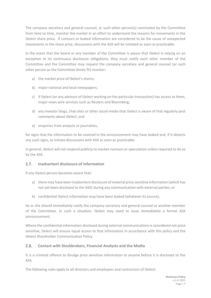The company secretary and general counsel, or such other person(s) nominated by the Committee from time to time, monitor the market in an effort to understand the reasons for movements in the iSelect share price. If rumours or leaked information are considered to be the cause of unexpected movements in the share price, discussions with the ASX will be initiated as soon as practicable.

In the event that the board or any member of the Committee is aware that iSelect is relying on an exception to its continuous disclosure obligations, they must notify each other member of the Committee and the Committee may request the company secretary and general counsel (or such other person as the Committee thinks fit) monitor:

- a) the market price of iSelect's shares;
- b) major national and local newspapers;
- c) if iSelect (or any advisors of iSelect working on the particular transaction) has access to them, major news wire services such as Reuters and Bloomberg;
- d) any investor blogs, chat-sites or other social media that iSelect is aware of that regularly post comments about iSelect; and
- e) enquiries from analysts or journalists,

for signs that the information to be covered in the announcement may have leaked and, if it detects any such signs, to initiate discussions with ASX as soon as practicable.

In general, iSelect will not respond publicly to market rumours or speculation unless required to do so by the ASX.

#### $2.7.$ **Inadvertent disclosure of information**

If any iSelect person becomes aware that:

- a) there may have been inadvertent disclosure of material price sensitive information (which has not yet been disclosed to the ASX) during any communication with external parties; or
- b) confidential iSelect information may have been leaked (whatever its source),

he or she should immediately notify the company secretary and general counsel or another member of the Committee. In such a situation, iSelect may need to issue immediately a formal ASX announcement.

Where the confidential information disclosed during external communications is considered not price sensitive, iSelect will ensure equal access to that information in accordance with this policy and the iSelect Shareholder Communication Policy.

#### $2.8.$ **Contact with Stockbrokers, Financial Analysts and the Media**

It is a criminal offence to divulge price sensitive information to anyone before it is disclosed to the ASX.

The following rules apply to all directors and employees and contractors of iSelect: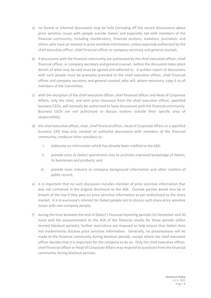- a) no formal or informal discussions may be held (including off the record discussions) about price sensitive issues with people outside iSelect and especially not with members of the financial community, including stockbrokers, financial analysts, investors, journalists and others who have an interest in price sensitive information, unless expressly authorised by the chief executive officer, chief financial officer or company secretary and general counsel;
- b) if discussions with the financial community are authorised by the chief executive officer, chief financial officer, or company secretary and general counsel , before the discussion takes place details of what may be said must be agreed and adhered to. A written report of discussions with such people must be promptly provided to the chief executive officer, chief financial officer and company secretary and general counsel, who will, where necessary, copy it to all members of the Committee;
- c) with the exception of the chief executive officer, chief financial officer and Head of Corporate Affairs, only the chair, and with prior clearance from the chief executive officer, specified business CEOs, will normally be authorised to have discussions with the financial community. Business CEOs are not authorised to discuss matters outside their specific area of responsibility;
- d) the chief executive officer, chair, chief financial officer, Head of Corporate Affairs or a specified business CEO may only conduct or authorise discussions with members of the financial community, media or other outsiders to:
	- i. elaborate on information which has already been notified to the ASX;
	- ii. provide visits to iSelect operational sites to promote improved knowledge of iSelect, its businesses and products; and
	- iii. provide basic industry or company background information and other matters of public record;
- e) it is important that no such discussion includes mention of price sensitive information that was not contained in the original disclosure to the ASX. Outside parties would also be in breach of the law if they pass on price sensitive information as yet undisclosed to the share market. It is in everyone's interest for iSelect people not to discuss such share price sensitive issues with non-company people;
- f) during the time between the end of iSelect's financial reporting periods (31 December and 30 June) and the announcement to the ASX of the financial results for those periods (often termed blackout periods), further restrictions are imposed to help ensure that iSelect does not inadvertently disclose price sensitive information. Generally, no presentations will be made to the financial community during blackout periods, except where the chief executive officer decides that it is important for the company to do so. Only the chief executive officer, chief financial officer or Head of Corporate Affairs may respond to questions from the financial community during blackout periods;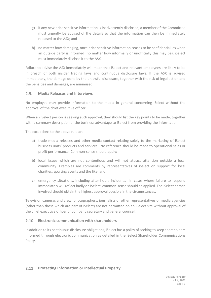- g) if any new price sensitive information is inadvertently disclosed, a member of the Committee must urgently be advised of the details so that the information can then be immediately released to the ASX; and
- h) no matter how damaging, once price sensitive information ceases to be confidential, as when an outside party is informed (no matter how informally or unofficially this may be), iSelect must immediately disclose it to the ASX.

Failure to advise the ASX immediately will mean that iSelect and relevant employees are likely to be in breach of both insider trading laws and continuous disclosure laws. If the ASX is advised immediately, the damage done by the unlawful disclosure, together with the risk of legal action and the penalties and damages, are minimised.

#### $2.9.$ **Media Releases and Interviews**

No employee may provide information to the media in general concerning iSelect without the approval of the chief executive officer.

When an iSelect person is seeking such approval, they should list the key points to be made, together with a summary description of the business advantage to iSelect from providing the information.

The exceptions to the above rule are:

- a) trade media releases and other media contact relating solely to the marketing of iSelect business units' products and services. No reference should be made to operational sales or profit performance. Common-sense should apply;
- b) local issues which are not contentious and will not attract attention outside a local community. Examples are comments by representatives of iSelect on support for local charities, sporting events and the like; and
- c) emergency situations, including after-hours incidents. In cases where failure to respond immediately will reflect badly on iSelect, common-sense should be applied. The iSelect person involved should obtain the highest approval possible in the circumstances.

Television cameras and crew, photographers, journalists or other representatives of media agencies (other than those which are part of iSelect) are not permitted on an iSelect site without approval of the chief executive officer or company secretary and general counsel.

## **Electronic communication with shareholders**

In addition to its continuous disclosure obligations, iSelect has a policy of seeking to keep shareholders informed through electronic communication as detailed in the iSelect Shareholder Communications Policy.

## **Protecting Information or Intellectual Property**